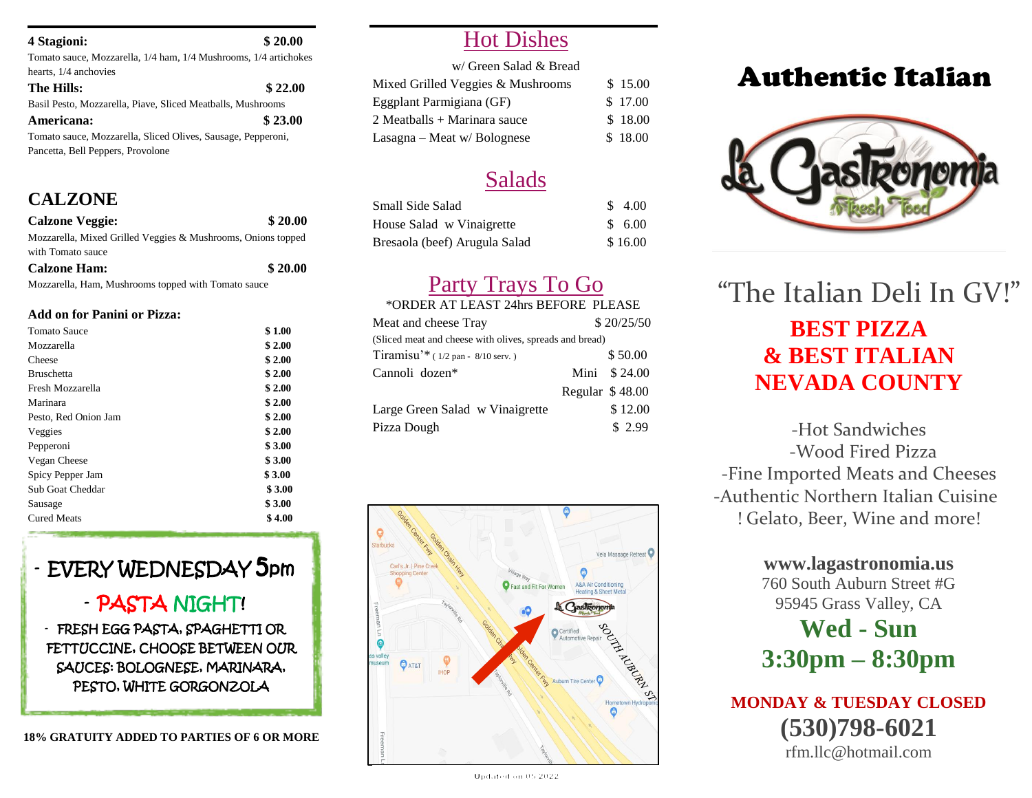#### **4 Stagioni: \$ 20.00**

Tomato sauce, Mozzarella, 1/4 ham, 1/4 Mushrooms, 1/4 artichokes hearts,  $1/4$  anchovies

| The Hills:                                                   | \$22.00 |
|--------------------------------------------------------------|---------|
| Basil Pesto, Mozzarella, Piave, Sliced Meatballs, Mushrooms  |         |
| Americana:                                                   | \$23.00 |
| Tomato sauce, Mozzarella, Sliced Olives, Sausage, Pepperoni, |         |
| Pancetta, Bell Peppers, Provolone                            |         |

### **CALZONE**

| <b>Calzone Veggie:</b>                                       | \$20.00 |
|--------------------------------------------------------------|---------|
| Mozzarella, Mixed Grilled Veggies & Mushrooms, Onions topped |         |
| with Tomato sauce                                            |         |

**Calzone Ham: \$ 20.00**

Mozzarella, Ham, Mushrooms topped with Tomato sauce

#### **Add on for Panini or Pizza:**

| Tomato Sauce         | \$1.00 |
|----------------------|--------|
| Mozzarella           | \$2.00 |
| Cheese               | \$2.00 |
| <b>Bruschetta</b>    | \$2.00 |
| Fresh Mozzarella     | \$2.00 |
| Marinara             | \$2.00 |
| Pesto, Red Onion Jam | \$2.00 |
| Veggies              | \$2.00 |
| Pepperoni            | \$3.00 |
| Vegan Cheese         | \$3.00 |
| Spicy Pepper Jam     | \$3.00 |
| Sub Goat Cheddar     | \$3.00 |
| Sausage              | \$3.00 |
| <b>Cured Meats</b>   | \$4.00 |
|                      |        |

# - EVERY WEDNESDAY 5pm

### - PASTA NIGHT!

- FRESH EGG PASTA, SPAGHETTI OR FETTUCCINE, CHOOSE BETWEEN OUR SAUCES: BOLOGNESE, MARINARA, PESTO, WHITE GORGONZOLA

**18% GRATUITY ADDED TO PARTIES OF 6 OR MORE**

## Hot Dishes

| w/ Green Salad & Bread            |         |
|-----------------------------------|---------|
| Mixed Grilled Veggies & Mushrooms | \$15.00 |
| Eggplant Parmigiana (GF)          | \$17.00 |
| 2 Meatballs + Marinara sauce      | \$18.00 |
| Lasagna – Meat w/ Bolognese       | \$18.00 |

# Salads

| Small Side Salad              | \$4.00  |
|-------------------------------|---------|
| House Salad w Vinaigrette     | \$6.00  |
| Bresaola (beef) Arugula Salad | \$16.00 |

# Party Trays To Go

### \*ORDER AT LEAST 24hrs BEFORE PLEASE

| Meat and cheese Tray                                    |                  | \$20/25/50    |
|---------------------------------------------------------|------------------|---------------|
| (Sliced meat and cheese with olives, spreads and bread) |                  |               |
| Tiramisu'* $(1/2$ pan - 8/10 serv.)                     |                  | \$50.00       |
| Cannoli dozen*                                          |                  | Mini $$24.00$ |
|                                                         | Regular $$48.00$ |               |
| Large Green Salad w Vinaigrette                         |                  | \$12.00       |
| Pizza Dough                                             |                  | \$2.99        |



# Authentic Italian



**BEST PIZZA & BEST ITALIAN NEVADA COUNTY** "The Italian Deli In GV!"

-Hot Sandwiches -Wood Fired Pizza -Fine Imported Meats and Cheeses -Authentic Northern Italian Cuisine ! Gelato, Beer, Wine and more!

### **www.lagastronomia.us** 760 South Auburn Street #G 95945 Grass Valley, CA

# **Wed - Sun 3:30pm – 8:30pm**

**MONDAY & TUESDAY CLOSED (530)798-6021** rfm.llc@hotmail.com

Updated on 05 2022